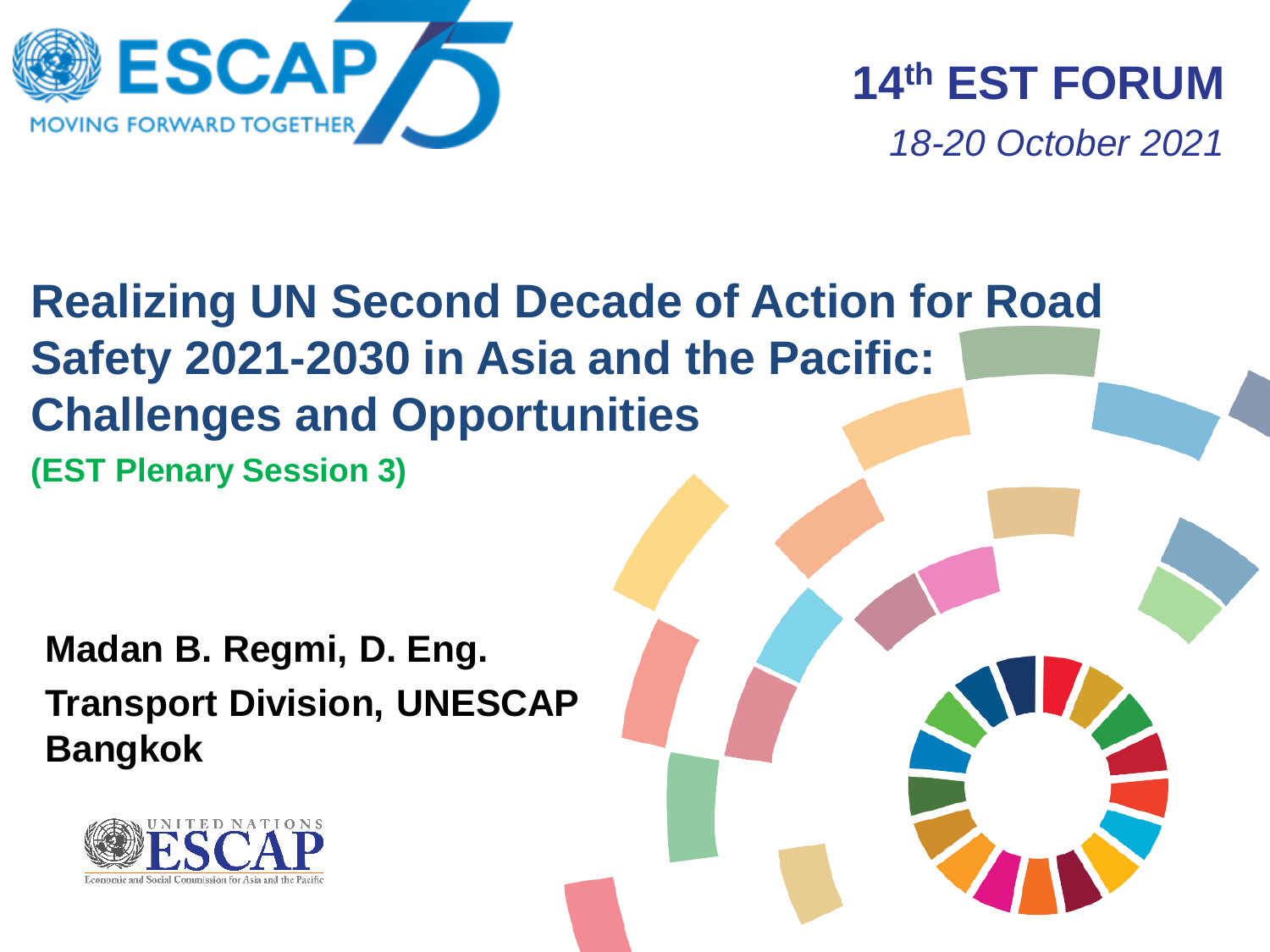

**14th EST FORUM**  *18-20 October 2021*

# **Realizing UN Second Decade of Action for Road Safety 2021-2030 in Asia and the Pacific: Challenges and Opportunities (EST Plenary Session 3)**

**Madan B. Regmi, D. Eng. Transport Division, UNESCAP Bangkok**

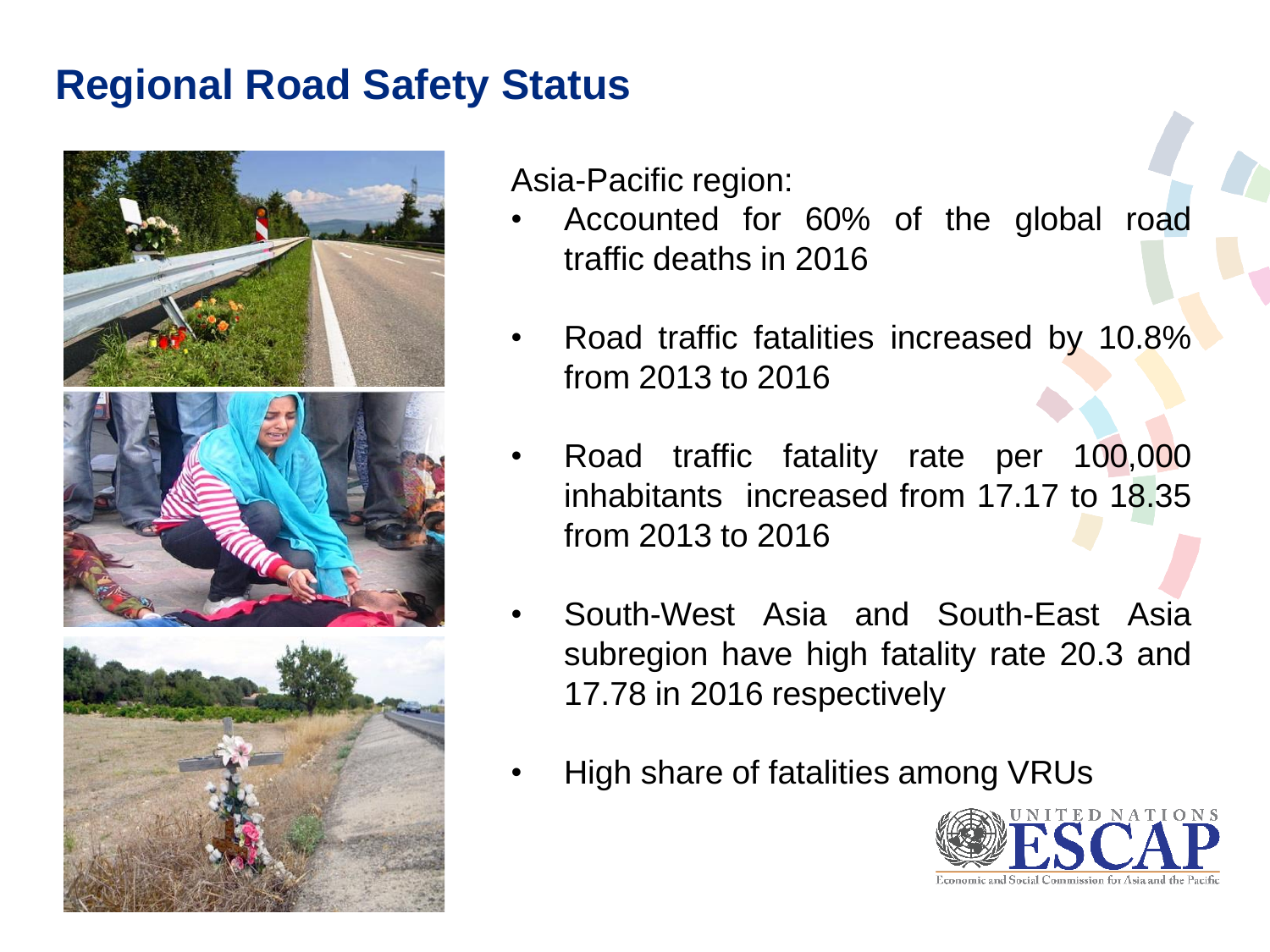# **Regional Road Safety Status**



Asia-Pacific region:

- Accounted for 60% of the global road traffic deaths in 2016
- Road traffic fatalities increased by 10.8% from 2013 to 2016
- Road traffic fatality rate per 100,000 inhabitants increased from 17.17 to 18.35 from 2013 to 2016
- South-West Asia and South-East Asia subregion have high fatality rate 20.3 and 17.78 in 2016 respectively
- High share of fatalities among VRUs

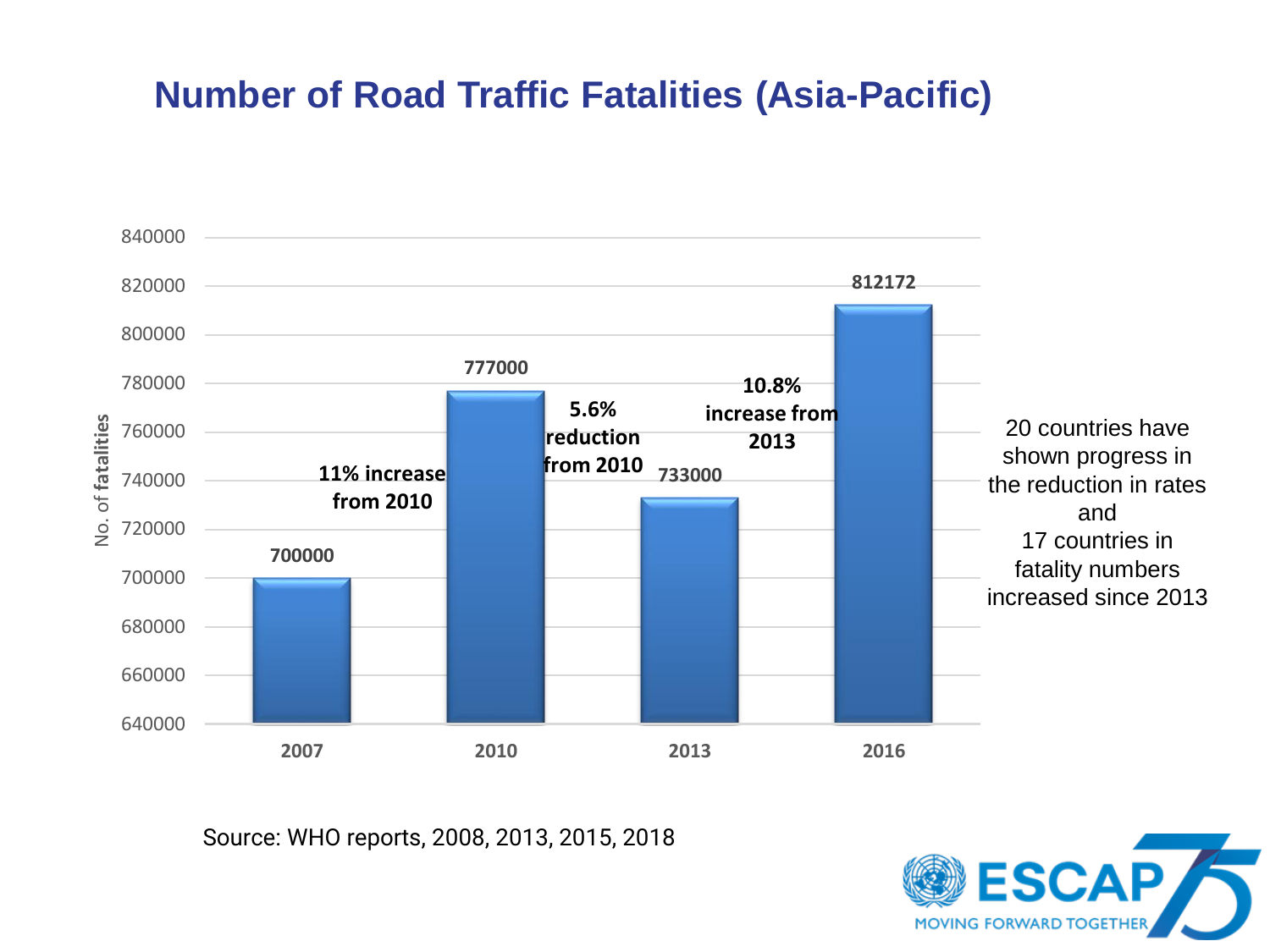## **Number of Road Traffic Fatalities (Asia-Pacific)**



Source: WHO reports, 2008, 2013, 2015, 2018

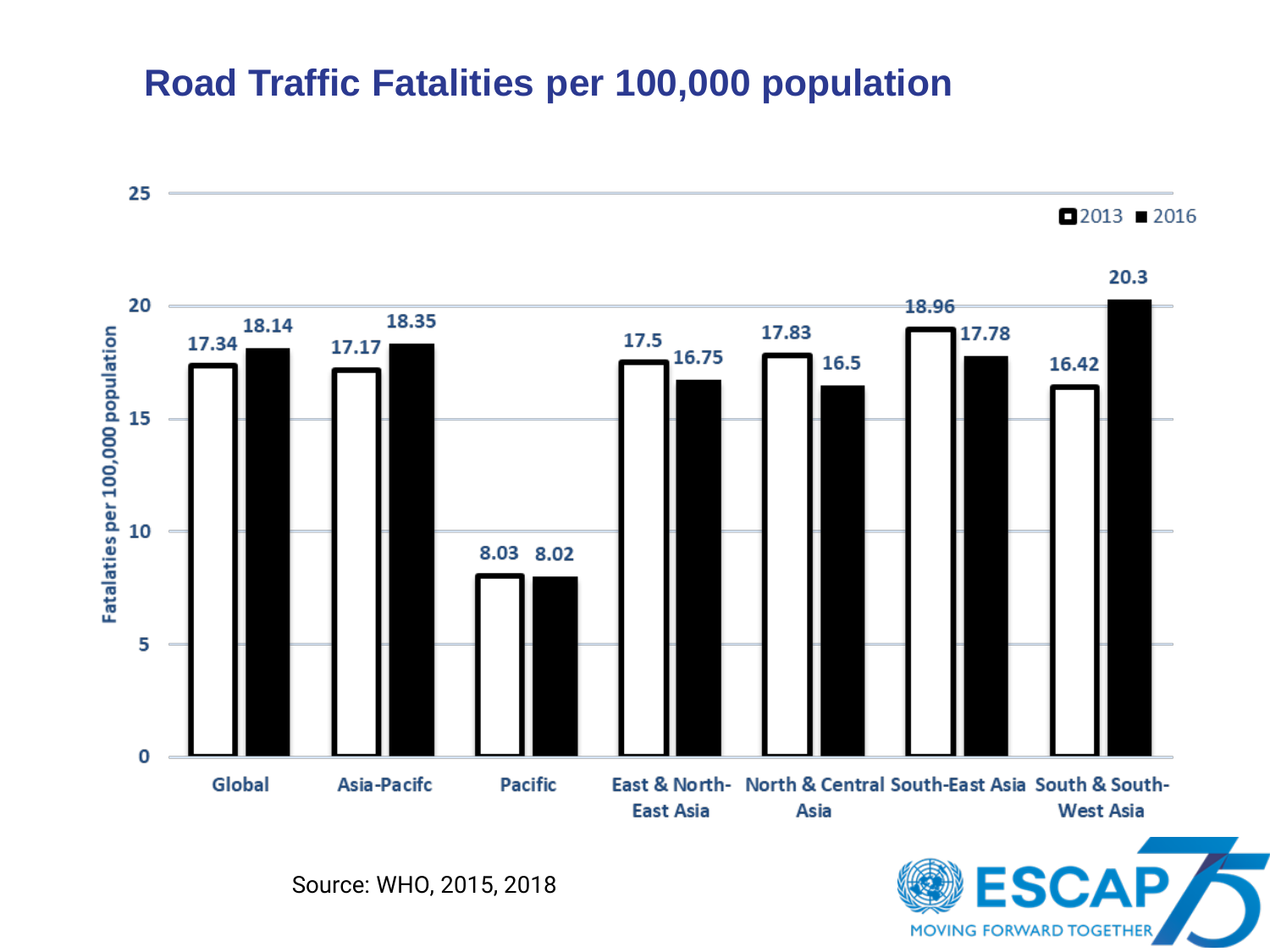#### **Road Traffic Fatalities per 100,000 population**



Source: WHO, 2015, 2018

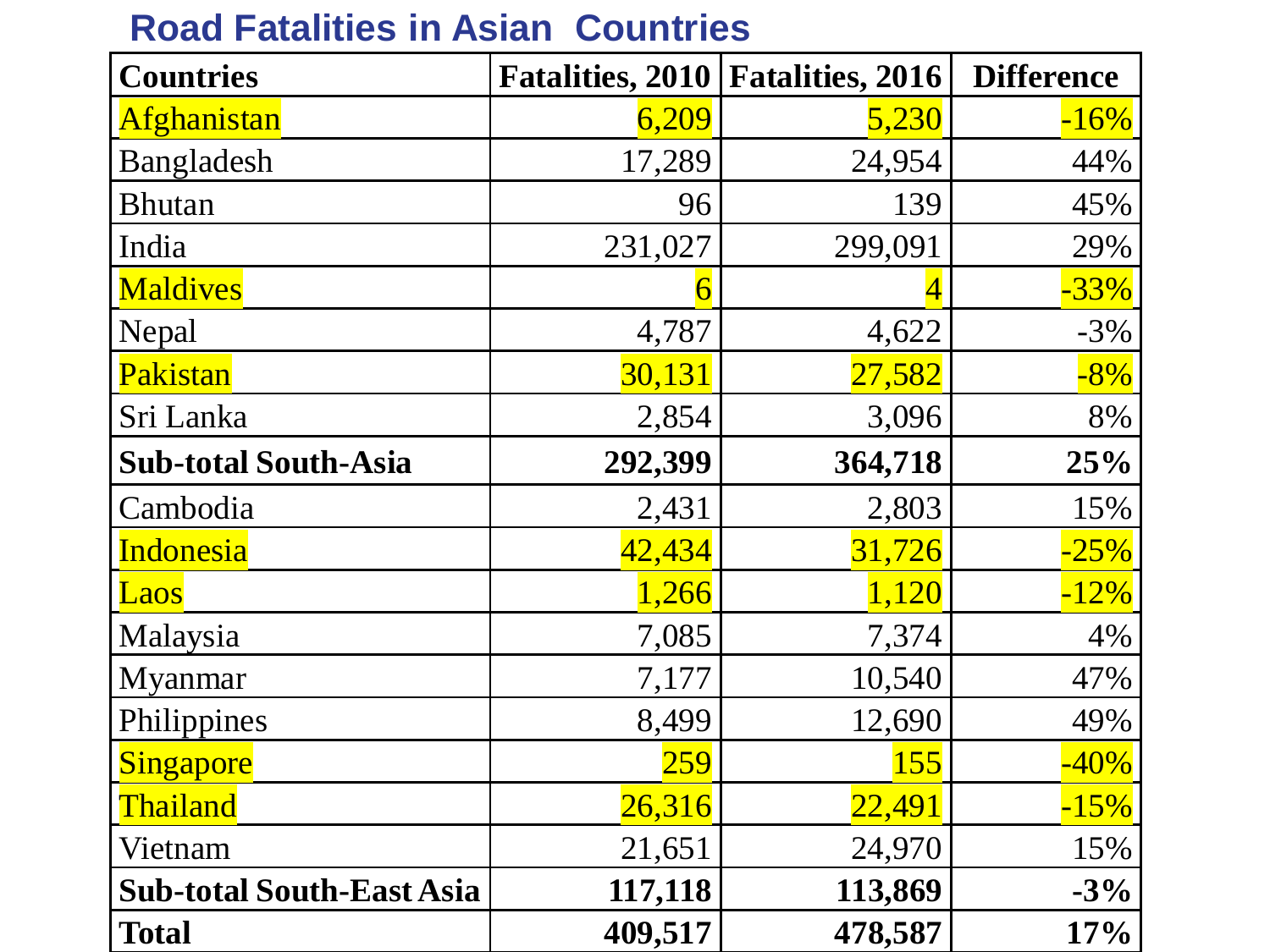### **Countries Fatalities, 2010 Fatalities, 2016 Difference** Afghanistan 1 6,209 5,230 -16% Bangladesh 17,289 24,954 44% Bhutan  $96$  139 45% India 1990 - 231,027 299,091 29% Maldives  $\sim$  1  $\sim$  6  $\sim$  4  $\sim$  -33% Nepal 1,787 4,787 4,622 -3% Pakistan 30,131 27,582 -8% Sri Lanka 2,854 3,096 8% **Sub-total South-Asia 292,399 364,718 25%** Cambodia 15% Indonesia 42,434 31,726 -25% Laos  $1,266$   $1,120$   $-12\%$ Malaysia 1 7,085 7,374 4% Myanmar 10,540 47% Philippines 12,690 12,690 49%  $Singapore$  259  $259$   $155$   $-40\%$ Thailand  $26,316$   $22,491$   $-15\%$ Vietnam  $21,651$   $24,970$   $15\%$ **Sub-total South-East Asia 117,118** 113,869 -3% **Total 409,517 478,587 17%**

## **Road Fatalities in Asian Countries**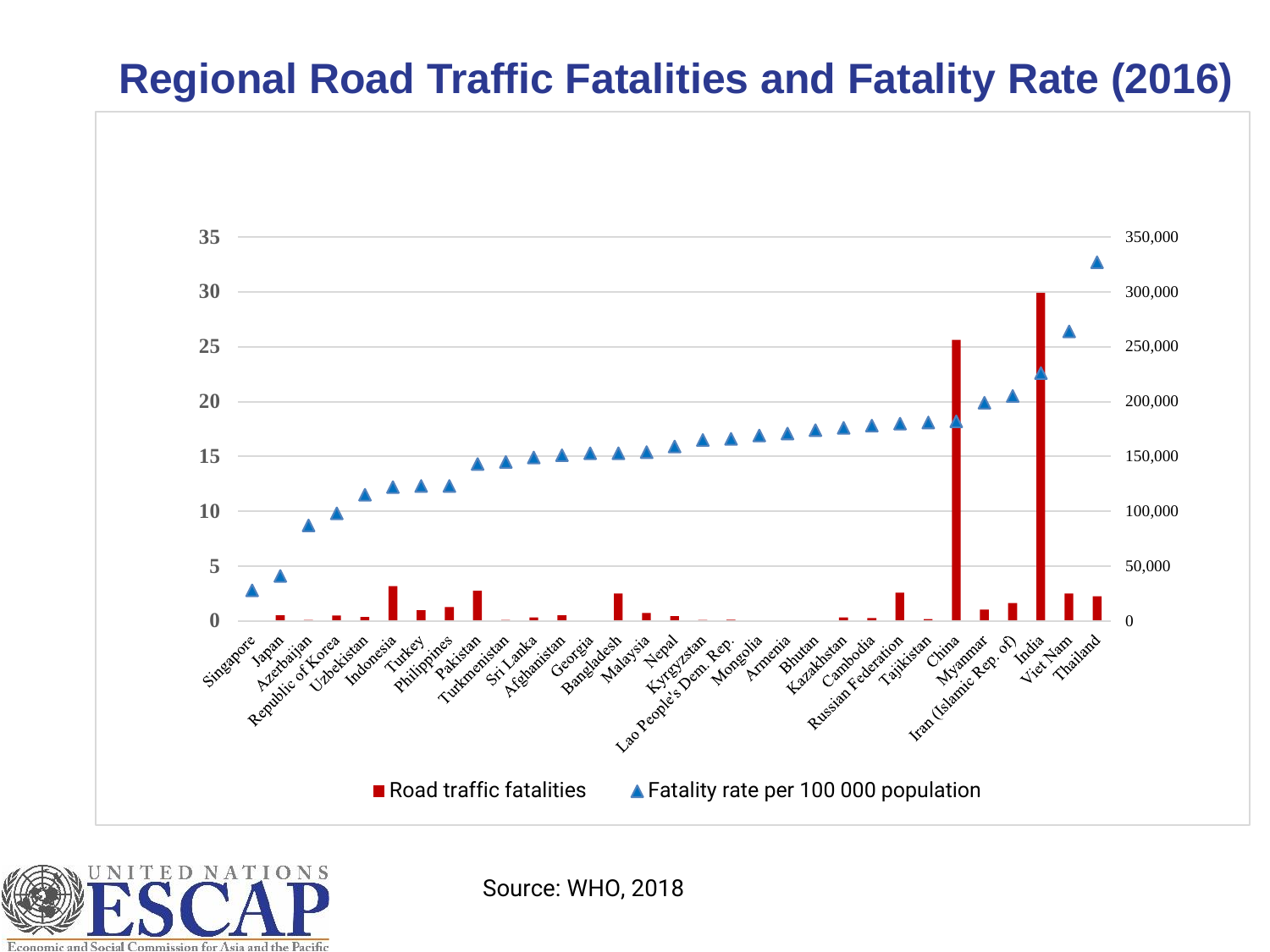## **Regional Road Traffic Fatalities and Fatality Rate (2016)**





Source: WHO, 2018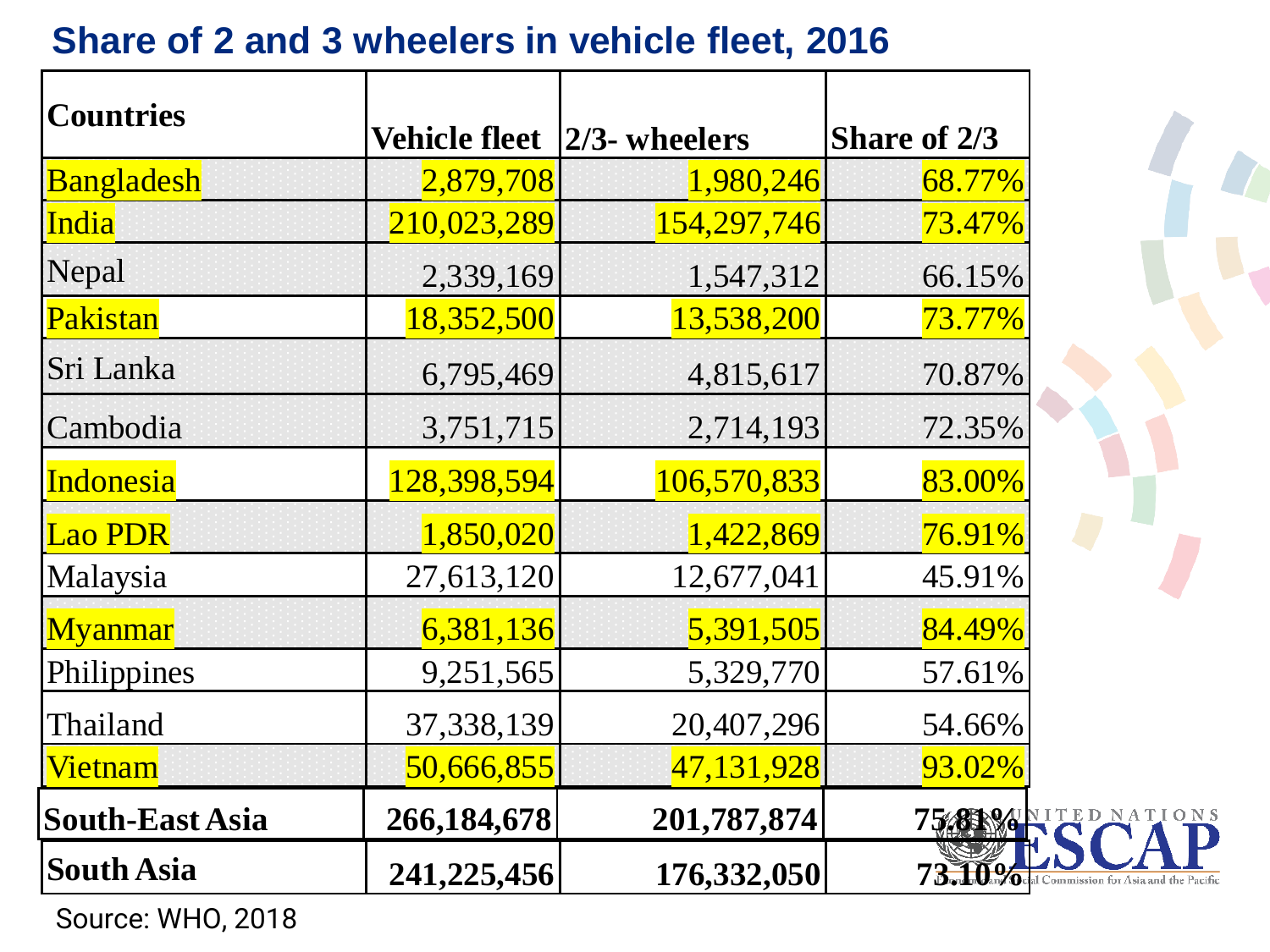| <b>Countries</b>       | <b>Vehicle fleet</b> | $ 2/3$ - wheelers | Share of 2/3                                    |
|------------------------|----------------------|-------------------|-------------------------------------------------|
| <b>Bangladesh</b>      | 2,879,708            | 1,980,246         | 68.77%                                          |
| <b>India</b>           | 210,023,289          | 154,297,746       | <b>73.47%</b>                                   |
| Nepal                  | 2,339,169            | 1,547,312         | 66.15%                                          |
| Pakistan               | 18,352,500           | 13,538,200        | 73.77%                                          |
| Sri Lanka              | 6,795,469            | 4,815,617         | 70.87%                                          |
| Cambodia               | 3,751,715            | 2,714,193         | 72.35%                                          |
| <b>Indonesia</b>       | 128,398,594          | 106,570,833       | 83.00%                                          |
| <b>Lao PDR</b>         | 1,850,020            | 1,422,869         | 76.91%                                          |
| Malaysia               | 27,613,120           | 12,677,041        | 45.91%                                          |
| <b>Myanmar</b>         | 6,381,136            | 5,391,505         | 84.49%                                          |
| Philippines            | 9,251,565            | 5,329,770         | 57.61%                                          |
| Thailand               | 37,338,139           | 20,407,296        | 54.66%                                          |
| <b>Vietnam</b>         | 50,666,855           | 47,131,928        | 93.02%                                          |
| <b>South-East Asia</b> | 266,184,678          | 201,787,874       | 75 SAMITED NATIONS                              |
| <b>South Asia</b>      | 241,225,456          | 176,332,050       | 73. Do Geal Commission for Asia and the Pacific |

## **Share of 2 and 3 wheelers in vehicle fleet, 2016**

Source: WHO, 2018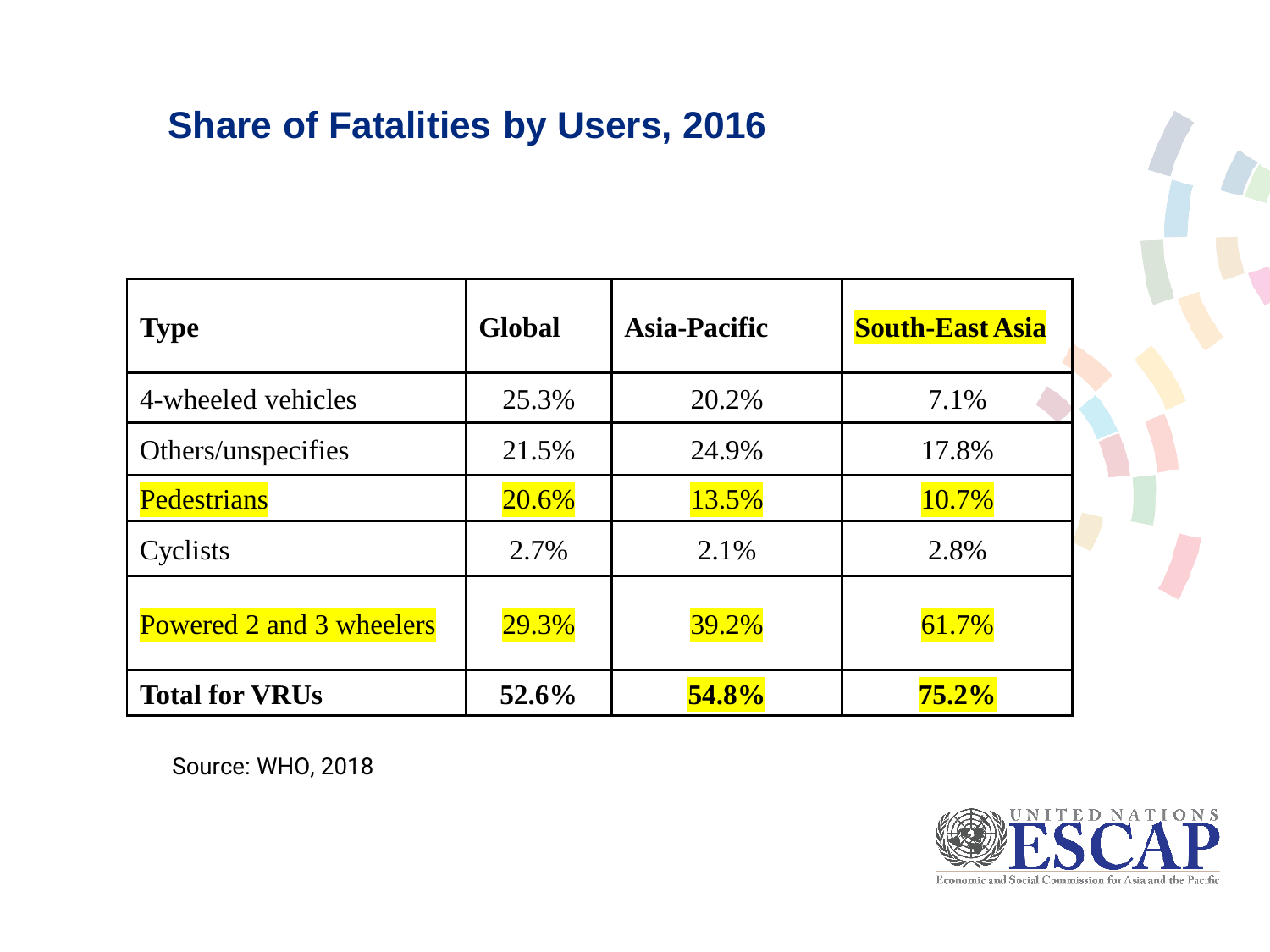## **Share of Fatalities by Users, 2016**

| <b>Type</b>              | Global | <b>Asia-Pacific</b> | <b>South-East Asia</b> |
|--------------------------|--------|---------------------|------------------------|
| 4-wheeled vehicles       | 25.3%  | 20.2%               | 7.1%                   |
| Others/unspecifies       | 21.5%  | 24.9%               | 17.8%                  |
| <b>Pedestrians</b>       | 20.6%  | 13.5%               | 10.7%                  |
| Cyclists                 | 2.7%   | 2.1%                | 2.8%                   |
| Powered 2 and 3 wheelers | 29.3%  | 39.2%               | 61.7%                  |
| <b>Total for VRUs</b>    | 52.6%  | 54.8%               | 75.2%                  |

Source: WHO, 2018

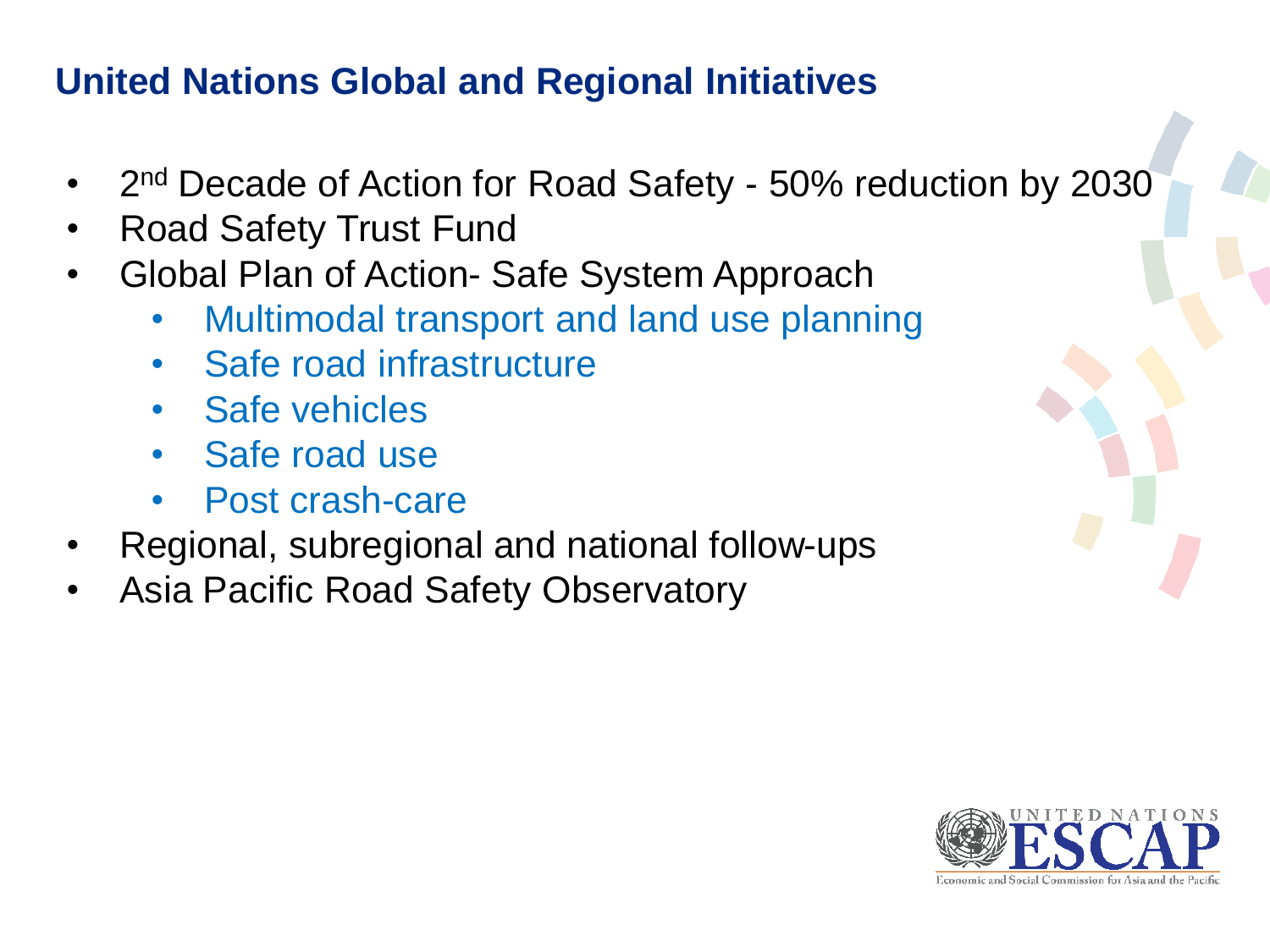## **United Nations Global and Regional Initiatives**

- 2<sup>nd</sup> Decade of Action for Road Safety 50% reduction by 2030
- Road Safety Trust Fund
- Global Plan of Action- Safe System Approach
	- Multimodal transport and land use planning
	- Safe road infrastructure
	- Safe vehicles
	- Safe road use
	- Post crash-care
- Regional, subregional and national follow-ups
- Asia Pacific Road Safety Observatory

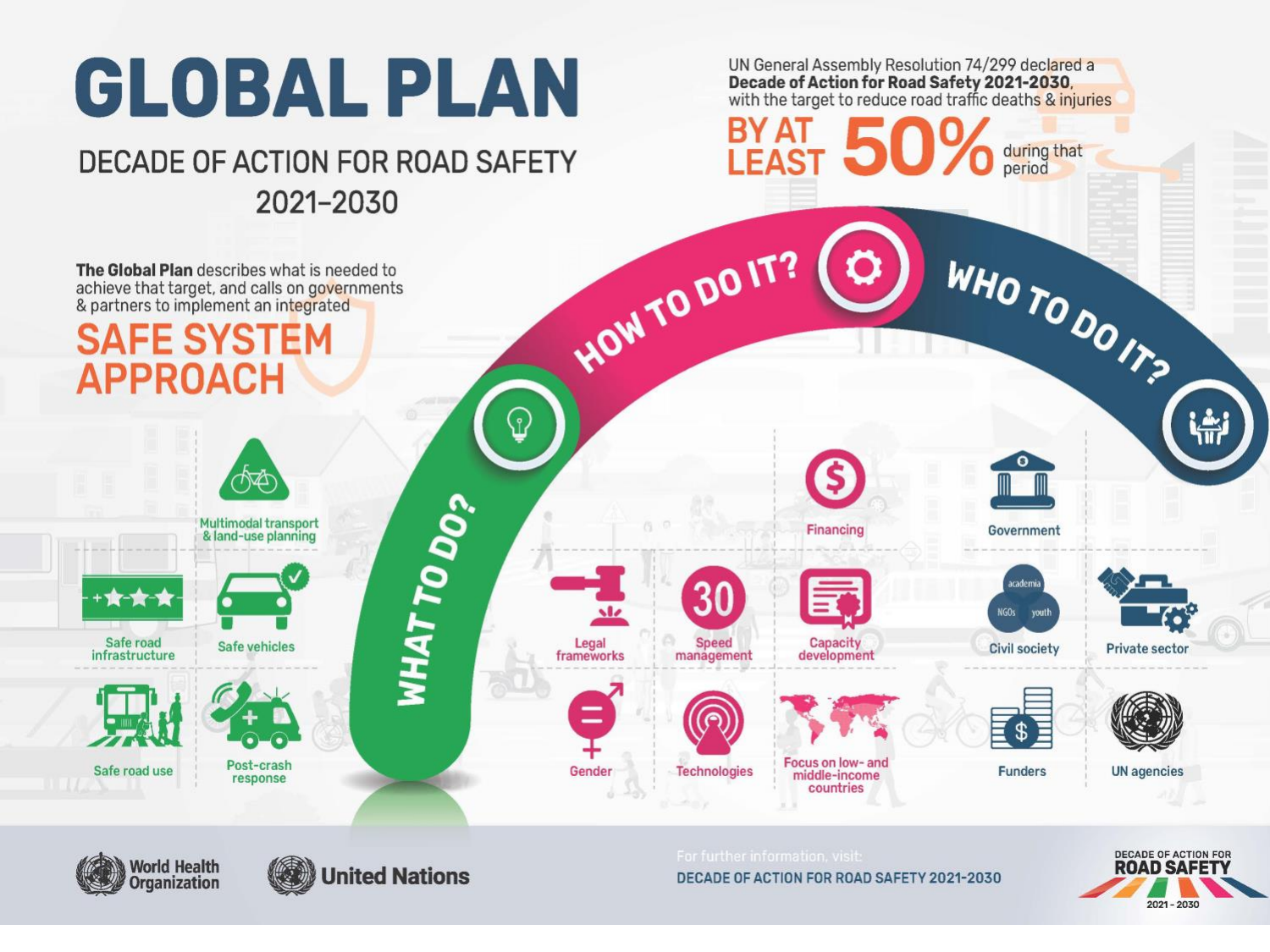

2021-2030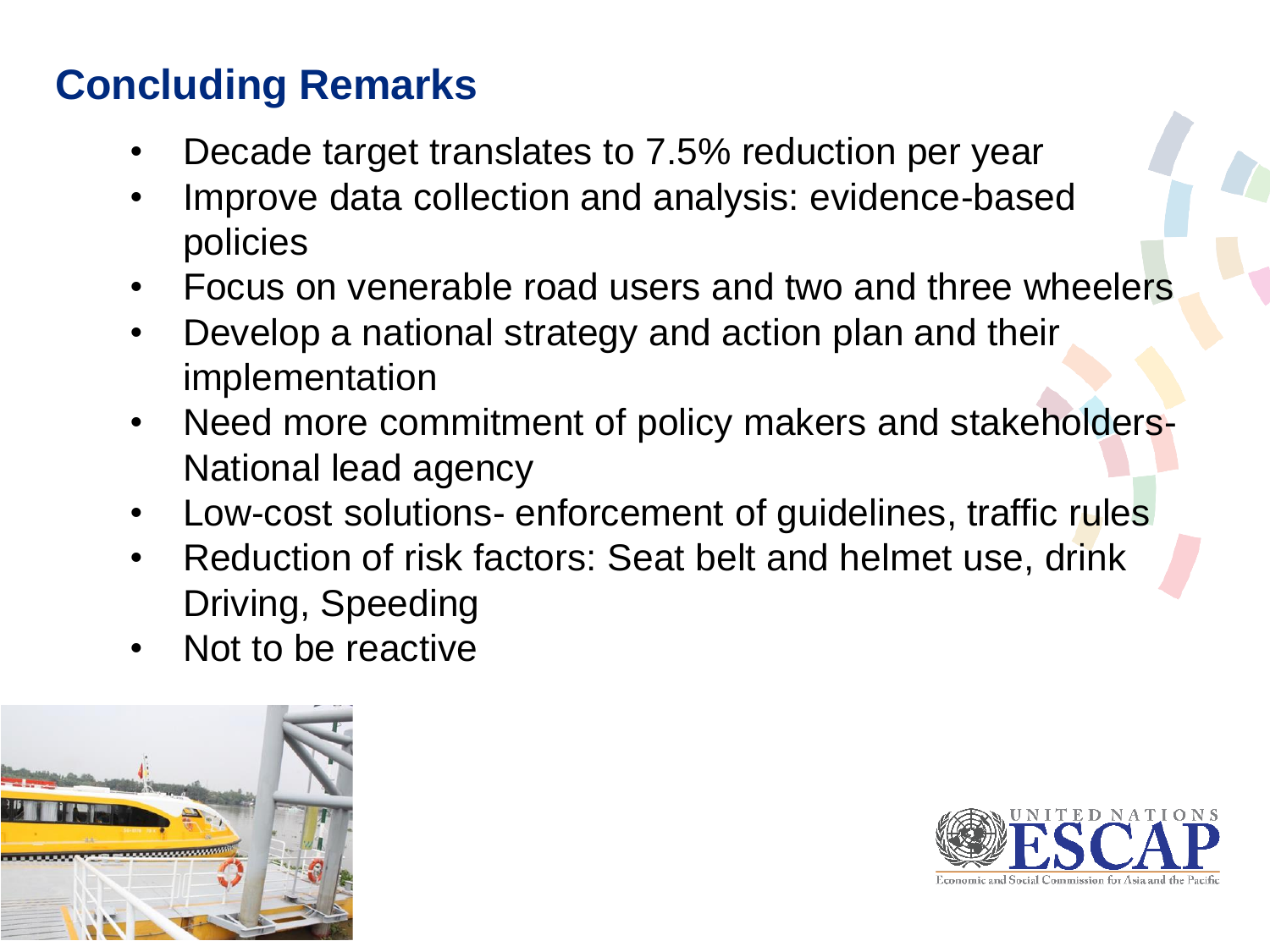# **Concluding Remarks**

- Decade target translates to 7.5% reduction per year
- Improve data collection and analysis: evidence-based policies
- Focus on venerable road users and two and three wheelers
- Develop a national strategy and action plan and their implementation
- Need more commitment of policy makers and stakeholders-National lead agency
- Low-cost solutions- enforcement of guidelines, traffic rules
- Reduction of risk factors: Seat belt and helmet use, drink Driving, Speeding
- Not to be reactive